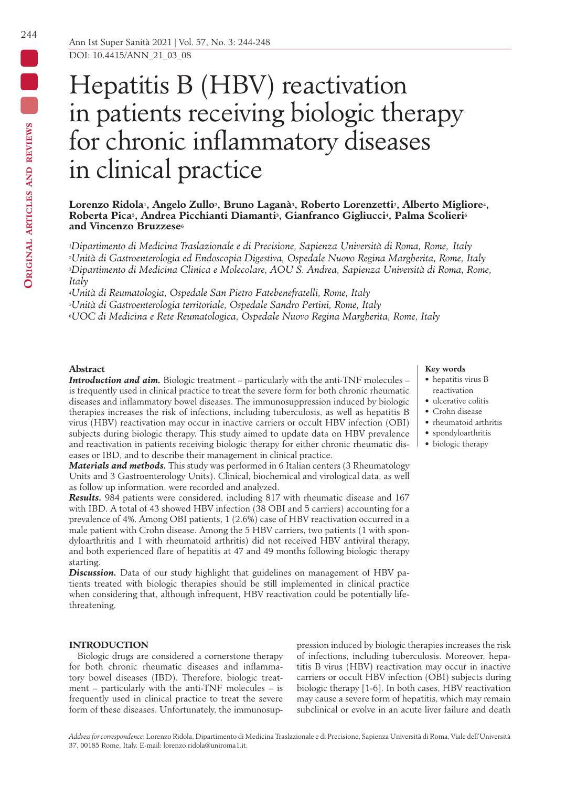# Hepatitis B (HBV) reactivation in patients receiving biologic therapy for chronic inflammatory diseases in clinical practice

## Lorenzo Ridola<sup>1</sup>, Angelo Zullo<sup>2</sup>, Bruno Laganà<sup>3</sup>, Roberto Lorenzetti<sup>2</sup>, Alberto Migliore<sup>4</sup>, **Roberta Pica5, Andrea Picchianti Diamanti3, Gianfranco Gigliucci4, Palma Scolieri6** and Vincenzo Bruzzese<sup>6</sup>

*1Dipartimento di Medicina Traslazionale e di Precisione, Sapienza Università di Roma, Rome, Italy 2Unità di Gastroenterologia ed Endoscopia Digestiva, Ospedale Nuovo Regina Margherita, Rome, Italy 3Dipartimento di Medicina Clinica e Molecolare, AOU S. Andrea, Sapienza Università di Roma, Rome, Italy*

*4Unità di Reumatologia, Ospedale San Pietro Fatebenefratelli, Rome, Italy 5Unità di Gastroenterologia territoriale, Ospedale Sandro Pertini, Rome, Italy*

*6UOC di Medicina e Rete Reumatologica, Ospedale Nuovo Regina Margherita, Rome, Italy*

## **Abstract**

*Introduction and aim.* Biologic treatment – particularly with the anti-TNF molecules – is frequently used in clinical practice to treat the severe form for both chronic rheumatic diseases and inflammatory bowel diseases. The immunosuppression induced by biologic therapies increases the risk of infections, including tuberculosis, as well as hepatitis B virus (HBV) reactivation may occur in inactive carriers or occult HBV infection (OBI) subjects during biologic therapy. This study aimed to update data on HBV prevalence and reactivation in patients receiving biologic therapy for either chronic rheumatic diseases or IBD, and to describe their management in clinical practice.

*Materials and methods.* This study was performed in 6 Italian centers (3 Rheumatology Units and 3 Gastroenterology Units). Clinical, biochemical and virological data, as well as follow up information, were recorded and analyzed.

*Results.* 984 patients were considered, including 817 with rheumatic disease and 167 with IBD. A total of 43 showed HBV infection (38 OBI and 5 carriers) accounting for a prevalence of 4%. Among OBI patients, 1 (2.6%) case of HBV reactivation occurred in a male patient with Crohn disease. Among the 5 HBV carriers, two patients (1 with spondyloarthritis and 1 with rheumatoid arthritis) did not received HBV antiviral therapy, and both experienced flare of hepatitis at 47 and 49 months following biologic therapy starting.

**Discussion.** Data of our study highlight that guidelines on management of HBV patients treated with biologic therapies should be still implemented in clinical practice when considering that, although infrequent, HBV reactivation could be potentially lifethreatening.

## **INTRODUCTION**

Biologic drugs are considered a cornerstone therapy for both chronic rheumatic diseases and inflammatory bowel diseases (IBD). Therefore, biologic treatment – particularly with the anti-TNF molecules – is frequently used in clinical practice to treat the severe form of these diseases. Unfortunately, the immunosup-

pression induced by biologic therapies increases the risk of infections, including tuberculosis. Moreover, hepatitis B virus (HBV) reactivation may occur in inactive carriers or occult HBV infection (OBI) subjects during biologic therapy [1-6]. In both cases, HBV reactivation may cause a severe form of hepatitis, which may remain subclinical or evolve in an acute liver failure and death

#### **Key words**

- hepatitis virus B reactivation
- ulcerative colitis
- Crohn disease
- rheumatoid arthritis
- spondyloarthritis
- biologic therapy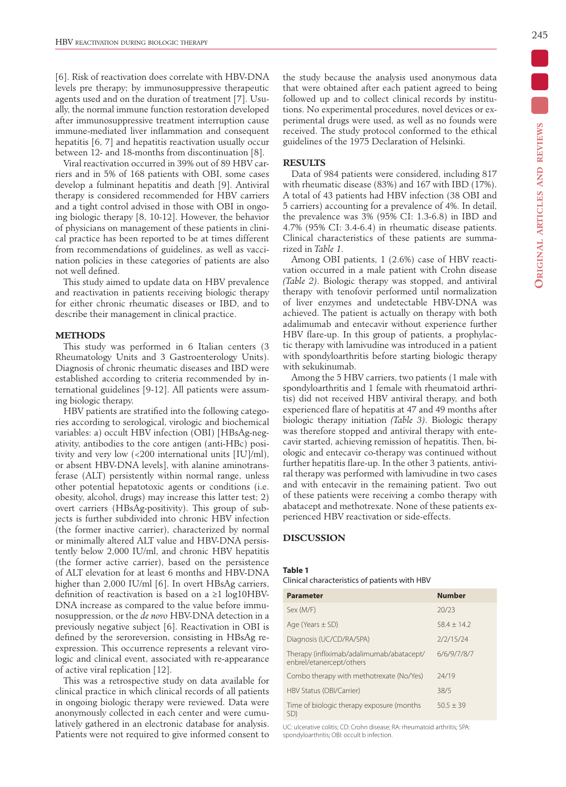[6]. Risk of reactivation does correlate with HBV-DNA levels pre therapy; by immunosuppressive therapeutic agents used and on the duration of treatment [7]. Usually, the normal immune function restoration developed after immunosuppressive treatment interruption cause immune-mediated liver inflammation and consequent hepatitis [6, 7] and hepatitis reactivation usually occur between 12- and 18-months from discontinuation [8].

Viral reactivation occurred in 39% out of 89 HBV carriers and in 5% of 168 patients with OBI, some cases develop a fulminant hepatitis and death [9]. Antiviral therapy is considered recommended for HBV carriers and a tight control advised in those with OBI in ongoing biologic therapy [8, 10-12]. However, the behavior of physicians on management of these patients in clinical practice has been reported to be at times different from recommendations of guidelines, as well as vaccination policies in these categories of patients are also not well defined.

This study aimed to update data on HBV prevalence and reactivation in patients receiving biologic therapy for either chronic rheumatic diseases or IBD, and to describe their management in clinical practice.

### **METHODS**

This study was performed in 6 Italian centers (3 Rheumatology Units and 3 Gastroenterology Units). Diagnosis of chronic rheumatic diseases and IBD were established according to criteria recommended by international guidelines [9-12]. All patients were assuming biologic therapy.

HBV patients are stratified into the following categories according to serological, virologic and biochemical variables: a) occult HBV infection (OBI) [HBsAg-negativity, antibodies to the core antigen (anti-HBc) positivity and very low (<200 international units [IU]/ml), or absent HBV-DNA levels], with alanine aminotransferase (ALT) persistently within normal range, unless other potential hepatotoxic agents or conditions (i.e. obesity, alcohol, drugs) may increase this latter test; 2) overt carriers (HBsAg-positivity). This group of subjects is further subdivided into chronic HBV infection (the former inactive carrier), characterized by normal or minimally altered ALT value and HBV-DNA persistently below 2,000 IU/ml, and chronic HBV hepatitis (the former active carrier), based on the persistence of ALT elevation for at least 6 months and HBV-DNA higher than 2,000 IU/ml [6]. In overt HBsAg carriers, definition of reactivation is based on a  $\geq 1$  log10HBV-DNA increase as compared to the value before immunosuppression, or the *de novo* HBV-DNA detection in a previously negative subject [6]. Reactivation in OBI is defined by the seroreversion, consisting in HBsAg reexpression. This occurrence represents a relevant virologic and clinical event, associated with re-appearance of active viral replication [12].

This was a retrospective study on data available for clinical practice in which clinical records of all patients in ongoing biologic therapy were reviewed. Data were anonymously collected in each center and were cumulatively gathered in an electronic database for analysis. Patients were not required to give informed consent to the study because the analysis used anonymous data that were obtained after each patient agreed to being followed up and to collect clinical records by institutions. No experimental procedures, novel devices or experimental drugs were used, as well as no founds were received. The study protocol conformed to the ethical guidelines of the 1975 Declaration of Helsinki.

## **RESULTS**

Data of 984 patients were considered, including 817 with rheumatic disease (83%) and 167 with IBD (17%). A total of 43 patients had HBV infection (38 OBI and 5 carriers) accounting for a prevalence of 4%. In detail, the prevalence was 3% (95% CI: 1.3-6.8) in IBD and 4.7% (95% CI: 3.4-6.4) in rheumatic disease patients. Clinical characteristics of these patients are summarized in *Table 1*.

Among OBI patients, 1 (2.6%) case of HBV reactivation occurred in a male patient with Crohn disease *(Table 2)*. Biologic therapy was stopped, and antiviral therapy with tenofovir performed until normalization of liver enzymes and undetectable HBV-DNA was achieved. The patient is actually on therapy with both adalimumab and entecavir without experience further HBV flare-up. In this group of patients, a prophylactic therapy with lamivudine was introduced in a patient with spondyloarthritis before starting biologic therapy with sekukinumab.

Among the 5 HBV carriers, two patients (1 male with spondyloarthritis and 1 female with rheumatoid arthritis) did not received HBV antiviral therapy, and both experienced flare of hepatitis at 47 and 49 months after biologic therapy initiation *(Table 3)*. Biologic therapy was therefore stopped and antiviral therapy with entecavir started, achieving remission of hepatitis. Then, biologic and entecavir co-therapy was continued without further hepatitis flare-up. In the other 3 patients, antiviral therapy was performed with lamivudine in two cases and with entecavir in the remaining patient. Two out of these patients were receiving a combo therapy with abatacept and methotrexate. None of these patients experienced HBV reactivation or side-effects.

## **DISCUSSION**

#### **Table 1**

Clinical characteristics of patients with HBV

| <b>Parameter</b>                                                      | <b>Number</b> |
|-----------------------------------------------------------------------|---------------|
| Sex (M/F)                                                             | 20/23         |
| Age (Years $\pm$ SD)                                                  | $58.4 + 14.2$ |
| Diagnosis (UC/CD/RA/SPA)                                              | 2/2/15/24     |
| Therapy (infliximab/adalimumab/abatacept/<br>enbrel/etanercept/others | 6/6/9/7/8/7   |
| Combo therapy with methotrexate (No/Yes)                              | 24/19         |
| HBV Status (OBI/Carrier)                                              | 38/5          |
| Time of biologic therapy exposure (months<br>SD)                      | $50.5 + 39$   |

UC: ulcerative colitis; CD: Crohn disease; RA: rheumatoid arthritis; SPA: spondyloarthritis; OBI: occult b infection.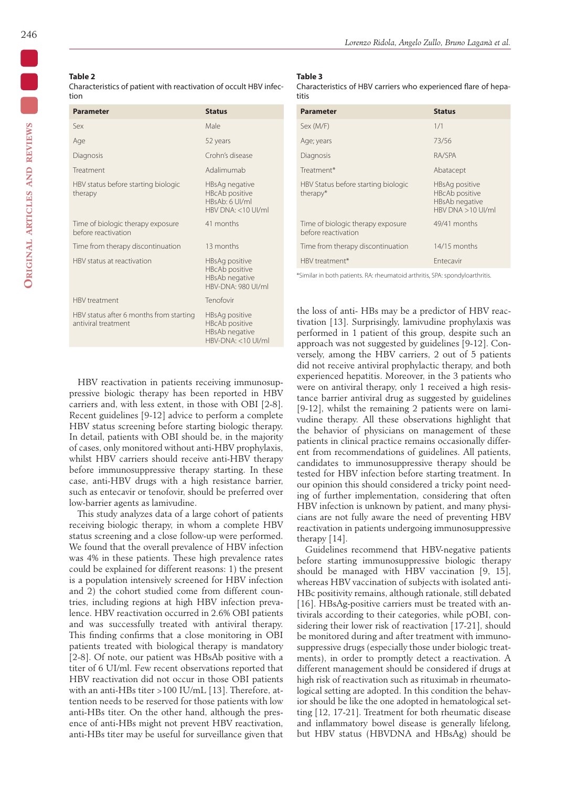## **Table 2**

Characteristics of patient with reactivation of occult HBV infection

| <b>Parameter</b>                                               | <b>Status</b>                                                                     |
|----------------------------------------------------------------|-----------------------------------------------------------------------------------|
| Sex                                                            | Male                                                                              |
| Age                                                            | 52 years                                                                          |
| Diagnosis                                                      | Crohn's disease                                                                   |
| Treatment                                                      | Adalimumab                                                                        |
| HBV status before starting biologic<br>therapy                 | HBsAg negative<br><b>HBcAb positive</b><br>HBsAb: 6 UI/ml<br>$HRV$ DNA: <10 UI/ml |
| Time of biologic therapy exposure<br>before reactivation       | 41 months                                                                         |
| Time from therapy discontinuation                              | 13 months                                                                         |
| HBV status at reactivation                                     | HBsAg positive<br><b>HBcAb positive</b><br>HBsAb negative<br>HBV-DNA: 980 UI/ml   |
| <b>HBV</b> treatment                                           | Tenofovir                                                                         |
| HBV status after 6 months from starting<br>antiviral treatment | HBsAg positive<br><b>HBcAb positive</b><br>HBsAb negative<br>$HBV-DNA: < 10 U/MI$ |

#### *Lorenzo Ridola, Angelo Zullo, Bruno Laganà et al.*

#### **Table 3**

Characteristics of HBV carriers who experienced flare of hepatitis

| <b>Parameter</b>                                         | <b>Status</b>                                                                             |
|----------------------------------------------------------|-------------------------------------------------------------------------------------------|
| Sex (M/F)                                                | 1/1                                                                                       |
| Age; years                                               | 73/56                                                                                     |
| Diagnosis                                                | RA/SPA                                                                                    |
| Treatment*                                               | Abatacept                                                                                 |
| HBV Status before starting biologic<br>therapy*          | HBsAg positive<br><b>HBcAb positive</b><br><b>HBsAb negative</b><br>$HRV$ DNA $>10$ UI/ml |
| Time of biologic therapy exposure<br>before reactivation | 49/41 months                                                                              |
| Time from therapy discontinuation                        | 14/15 months                                                                              |
| HBV treatment*                                           | <b>Entecavir</b>                                                                          |

\*Similar in both patients. RA: rheumatoid arthritis, SPA: spondyloarthritis.

the loss of anti- HBs may be a predictor of HBV reactivation [13]. Surprisingly, lamivudine prophylaxis was performed in 1 patient of this group, despite such an approach was not suggested by guidelines [9-12]. Conversely, among the HBV carriers, 2 out of 5 patients did not receive antiviral prophylactic therapy, and both experienced hepatitis. Moreover, in the 3 patients who were on antiviral therapy, only 1 received a high resistance barrier antiviral drug as suggested by guidelines [9-12], whilst the remaining 2 patients were on lamivudine therapy. All these observations highlight that the behavior of physicians on management of these patients in clinical practice remains occasionally different from recommendations of guidelines. All patients, candidates to immunosuppressive therapy should be tested for HBV infection before starting treatment. In our opinion this should considered a tricky point needing of further implementation, considering that often HBV infection is unknown by patient, and many physicians are not fully aware the need of preventing HBV reactivation in patients undergoing immunosuppressive therapy [14].

Guidelines recommend that HBV-negative patients before starting immunosuppressive biologic therapy should be managed with HBV vaccination [9, 15], whereas HBV vaccination of subjects with isolated anti-HBc positivity remains, although rationale, still debated [16]. HBsAg-positive carriers must be treated with antivirals according to their categories, while pOBI, considering their lower risk of reactivation [17-21], should be monitored during and after treatment with immunosuppressive drugs (especially those under biologic treatments), in order to promptly detect a reactivation. A different management should be considered if drugs at high risk of reactivation such as rituximab in rheumatological setting are adopted. In this condition the behavior should be like the one adopted in hematological setting [12, 17-21]. Treatment for both rheumatic disease and inflammatory bowel disease is generally lifelong, but HBV status (HBVDNA and HBsAg) should be

HBV reactivation in patients receiving immunosuppressive biologic therapy has been reported in HBV carriers and, with less extent, in those with OBI [2-8]. Recent guidelines [9-12] advice to perform a complete HBV status screening before starting biologic therapy. In detail, patients with OBI should be, in the majority of cases, only monitored without anti-HBV prophylaxis, whilst HBV carriers should receive anti-HBV therapy before immunosuppressive therapy starting. In these case, anti-HBV drugs with a high resistance barrier, such as entecavir or tenofovir, should be preferred over low-barrier agents as lamivudine.

This study analyzes data of a large cohort of patients receiving biologic therapy, in whom a complete HBV status screening and a close follow-up were performed. We found that the overall prevalence of HBV infection was 4% in these patients. These high prevalence rates could be explained for different reasons: 1) the present is a population intensively screened for HBV infection and 2) the cohort studied come from different countries, including regions at high HBV infection prevalence. HBV reactivation occurred in 2.6% OBI patients and was successfully treated with antiviral therapy. This finding confirms that a close monitoring in OBI patients treated with biological therapy is mandatory [2-8]. Of note, our patient was HBsAb positive with a titer of 6 UI/ml. Few recent observations reported that HBV reactivation did not occur in those OBI patients with an anti-HBs titer >100 IU/mL [13]. Therefore, attention needs to be reserved for those patients with low anti-HBs titer. On the other hand, although the presence of anti-HBs might not prevent HBV reactivation, anti-HBs titer may be useful for surveillance given that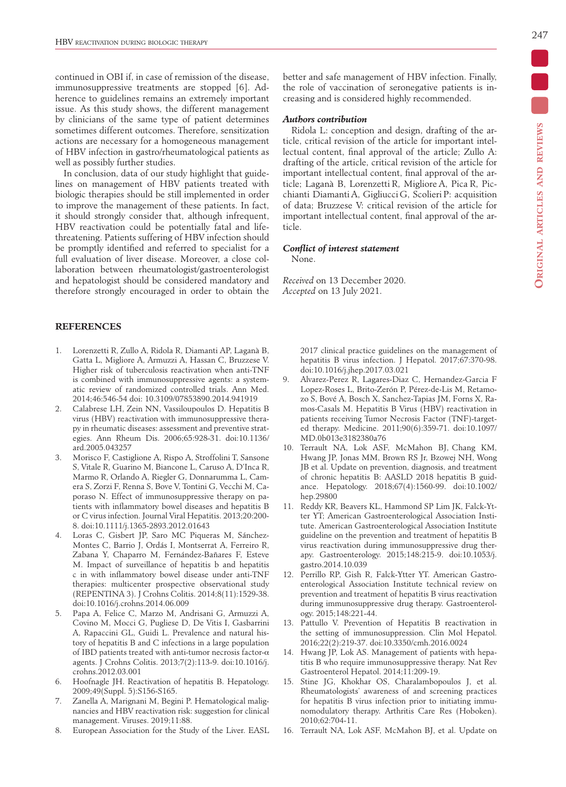continued in OBI if, in case of remission of the disease, immunosuppressive treatments are stopped [6]. Adherence to guidelines remains an extremely important issue. As this study shows, the different management by clinicians of the same type of patient determines sometimes different outcomes. Therefore, sensitization actions are necessary for a homogeneous management of HBV infection in gastro/rheumatological patients as well as possibly further studies.

In conclusion, data of our study highlight that guidelines on management of HBV patients treated with biologic therapies should be still implemented in order to improve the management of these patients. In fact, it should strongly consider that, although infrequent, HBV reactivation could be potentially fatal and lifethreatening. Patients suffering of HBV infection should be promptly identified and referred to specialist for a full evaluation of liver disease. Moreover, a close collaboration between rheumatologist/gastroenterologist and hepatologist should be considered mandatory and therefore strongly encouraged in order to obtain the

## **REFERENCES**

- 1. Lorenzetti R, Zullo A, Ridola R, Diamanti AP, Laganà B, Gatta L, Migliore A, Armuzzi A, Hassan C, Bruzzese V. Higher risk of tuberculosis reactivation when anti-TNF is combined with immunosuppressive agents: a systematic review of randomized controlled trials. Ann Med. 2014;46:546-54 doi: 10.3109/07853890.2014.941919
- 2. Calabrese LH, Zein NN, Vassiloupoulos D. Hepatitis B virus (HBV) reactivation with immunosuppressive therapy in rheumatic diseases: assessment and preventive strategies. Ann Rheum Dis. 2006;65:928-31. doi:10.1136/ ard.2005.043257
- 3. Morisco F, Castiglione A, Rispo A, Stroffolini T, Sansone S, Vitale R, Guarino M, Biancone L, Caruso A, D'Inca R, Marmo R, Orlando A, Riegler G, Donnarumma L, Camera S, Zorzi F, Renna S, Bove V, Tontini G, Vecchi M, Caporaso N. Effect of immunosuppressive therapy on patients with inflammatory bowel diseases and hepatitis B or C virus infection. Journal Viral Hepatitis. 2013;20:200- 8. doi:10.1111/j.1365-2893.2012.01643
- 4. Loras C, Gisbert JP, Saro MC Piqueras M, Sánchez-Montes C, Barrio J, Ordás I, Montserrat A, Ferreiro R, Zabana Y, Chaparro M, Fernández-Bañares F, Esteve M. Impact of surveillance of hepatitis b and hepatitis c in with inflammatory bowel disease under anti-TNF therapies: multicenter prospective observational study (REPENTINA 3). J Crohns Colitis. 2014;8(11):1529-38. doi:10.1016/j.crohns.2014.06.009
- 5. Papa A, Felice C, Marzo M, Andrisani G, Armuzzi A, Covino M, Mocci G, Pugliese D, De Vitis I, Gasbarrini A, Rapaccini GL, Guidi L. Prevalence and natural history of hepatitis B and C infections in a large population of IBD patients treated with anti-tumor necrosis factor-α agents. J Crohns Colitis. 2013;7(2):113-9. doi:10.1016/j. crohns.2012.03.001
- 6. Hoofnagle JH. Reactivation of hepatitis B. Hepatology. 2009;49(Suppl. 5):S156-S165.
- 7. Zanella A, Marignani M, Begini P. Hematological malignancies and HBV reactivation risk: suggestion for clinical management. Viruses. 2019;11:88.
- 8. European Association for the Study of the Liver. EASL

better and safe management of HBV infection. Finally, the role of vaccination of seronegative patients is increasing and is considered highly recommended.

#### *Authors contribution*

Ridola L: conception and design, drafting of the article, critical revision of the article for important intellectual content, final approval of the article; Zullo A: drafting of the article, critical revision of the article for important intellectual content, final approval of the article; Laganà B, Lorenzetti R, Migliore A, Pica R, Picchianti Diamanti A, Gigliucci G, Scolieri P: acquisition of data; Bruzzese V: critical revision of the article for important intellectual content, final approval of the article.

## *Conflict of interest statement*

None.

*Received* on 13 December 2020. *Accepted* on 13 July 2021.

> 2017 clinical practice guidelines on the management of hepatitis B virus infection. J Hepatol. 2017;67:370-98. doi:10.1016/j.jhep.2017.03.021

- 9. Alvarez-Perez R, Lagares-Diaz C, Hernandez-Garcia F Lopez-Roses L, Brito-Zerón P, Pérez-de-Lis M, Retamozo S, Bové A, Bosch X, Sanchez-Tapias JM, Forns X, Ramos-Casals M. Hepatitis B Virus (HBV) reactivation in patients receiving Tumor Necrosis Factor (TNF)-targeted therapy. Medicine. 2011;90(6):359-71. doi:10.1097/ MD.0b013e3182380a76
- 10. Terrault NA, Lok ASF, McMahon BJ, Chang KM, Hwang JP, Jonas MM, Brown RS Jr, Bzowej NH, Wong JB et al. Update on prevention, diagnosis, and treatment of chronic hepatitis B: AASLD 2018 hepatitis B guidance. Hepatology. 2018;67(4):1560-99. doi:10.1002/ hep.29800
- 11. Reddy KR, Beavers KL, Hammond SP Lim JK, Falck-Ytter YT; American Gastroenterological Association Institute. American Gastroenterological Association Institute guideline on the prevention and treatment of hepatitis B virus reactivation during immunosuppressive drug therapy. Gastroenterology. 2015;148:215-9. doi:10.1053/j. gastro.2014.10.039
- 12. Perrillo RP, Gish R, Falck-Ytter YT. American Gastroenterological Association Institute technical review on prevention and treatment of hepatitis B virus reactivation during immunosuppressive drug therapy. Gastroenterology. 2015;148:221‐44.
- 13. Pattullo V. Prevention of Hepatitis B reactivation in the setting of immunosuppression. Clin Mol Hepatol. 2016;22(2):219-37. doi:10.3350/cmh.2016.0024
- 14. Hwang JP, Lok AS. Management of patients with hepatitis B who require immunosuppressive therapy. Nat Rev Gastroenterol Hepatol. 2014;11:209‐19.
- 15. Stine JG, Khokhar OS, Charalambopoulos J, et al. Rheumatologists' awareness of and screening practices for hepatitis B virus infection prior to initiating immunomodulatory therapy. Arthritis Care Res (Hoboken). 2010;62:704-11.
- 16. Terrault NA, Lok ASF, McMahon BJ, et al. Update on